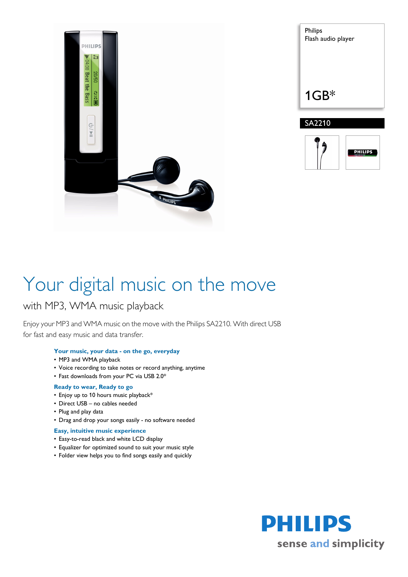

| Philips<br>Flash audio player |
|-------------------------------|
| $1GB*$                        |
| SA2210                        |



# Your digital music on the move

### with MP3, WMA music playback

Enjoy your MP3 and WMA music on the move with the Philips SA2210. With direct USB for fast and easy music and data transfer.

#### **Your music, your data - on the go, everyday**

- MP3 and WMA playback
- Voice recording to take notes or record anything, anytime
- Fast downloads from your PC via USB 2.0\*

#### **Ready to wear, Ready to go**

- Enjoy up to 10 hours music playback\*
- Direct USB no cables needed
- Plug and play data
- Drag and drop your songs easily no software needed

#### **Easy, intuitive music experience**

- Easy-to-read black and white LCD display
- Equalizer for optimized sound to suit your music style
- Folder view helps you to find songs easily and quickly